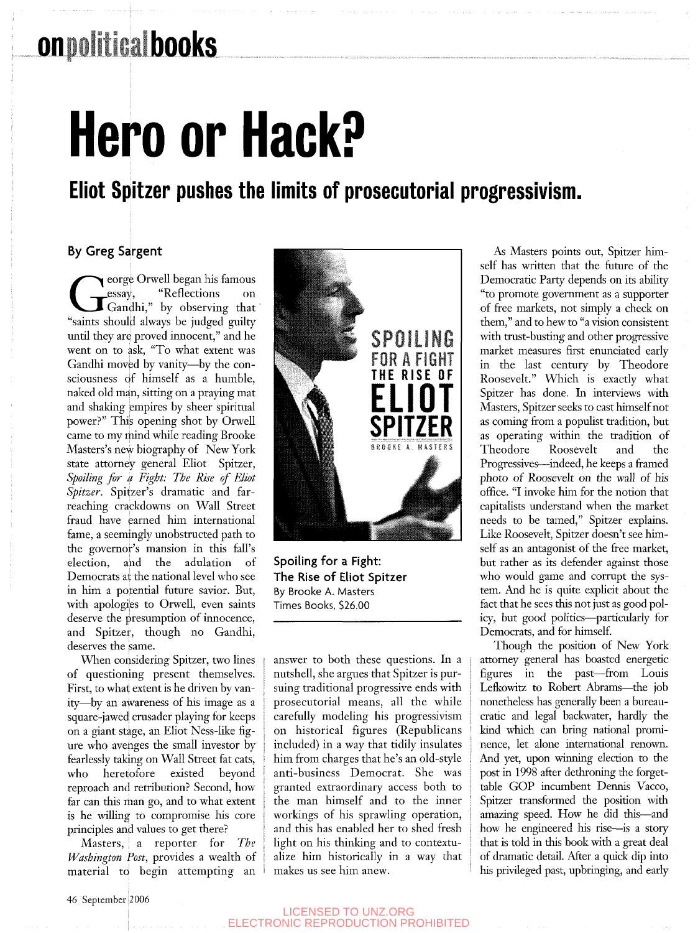# **Hero or Hack?**

### Eliot Spitzer pushes the limits of prosecutorial progressivism.

### By Greg Sargent

George Orwell began his famous<br>
essay, "Reflections" on<br>
"Gandhi," by observing that<br>
"saints should always be judged guilty" eorge Orwell began his famous essay, "Reflections on Gandhi," by observing that until they are proved innocent," and he went on to ask, "To what extent was Gandhi moved by vanity—by the consciousness df himself as a humble, naked old man, sitting on a praying mat and shaking empires by sheer spiritual power?" This opening shot by Orwell came to my mind while reading Brooke Masters's new biography of New York state attorney general Eliot Spitzer, *Spoiling for a Fight: The Rise of Eliot Spitzer.* Spitzer's dramatic and farreaching crackdowns on Wall Street fraud have earned him international fame, a seemingly unobstructed path to the governor's mansion in this fall's election, and the adulation of Democrats at the national level who see in him a potential future savior. But, with apologies to Orwell, even saints deserve the presumption of innocence, and Spitzer, though no Gandhi, deserves the same.

When considering Spitzer, two lines of questioning present themselves. First, to what extent is he driven by vanity—by an awareness of his image as a square-jawed crusader playing for keeps on a giant stige, an Eliot Ness-like figure who avehges the small investor by fearlessly taking on Wall Street fat cats, who heretofore existed beyond reproach and retribution? Second, how far can this man go, and to what extent is he willing to compromise his core principles and values to get there?

Masters, ; a reporter for *The Washington Post,* provides a wealth of material to begin attempting an



Spoiling for a Fight: The Rise of Eliot Spitzer By Brooke A. Masters Times Books, \$26.00

answer to both these questions. In a nutshell, she argues that Spitzer is pursuing traditional progressive ends with prosecutorial means, all the while carefully modeling his progressivism on historical figures (Republicans included) in a way that tidily insulates him from charges that he's an old-style anti-business Democrat. She was granted extraordinary access both to the man himself and to the inner workings of his sprawling operation, and this has enabled her to shed fresh light on his thinking and to contextualize him historically in a way that makes us see him anew.

As Masters points out, Spitzer himself has written that the future of the Democratic Party depends on its ability "to promote government as a supporter of free markets, not simply a check on them," and to hew to "a vision consistent with trust-busting and other progressive market measures first enunciated early in the last century by Theodore Roosevelt." Which is exactly what Spitzer has done. In interviews with Masters, Spitzer seeks to cast himself not as coming from a populist tradition, but as operating within the tradition of Theodore Roosevelt and the Progressives—indeed, he keeps a framed photo of Roosevelt on the wall of his office. "I invoke him for the notion that capitalists understand when the market needs to be tamed," Spitzer explains. Like Roosevelt, Spitzer doesn't see himself as an antagonist of the free market, but rather as its defender against those who would game and corrupt the system. And he is quite explicit about the fact that he sees this not just as good policy, but good politics—particularly for Democrats, and for himself.

Though the position of New York attorney general has boasted energetic figures in the past—from Louis Lefkowitz to Robert Abrams—the job nonetheless has generally been a bureaucratic and legal backwater, hardly the kind which can bring national prominence, let alone international renown. And yet, upon winning election to the post in 1998 after dethroning the forgettable GOP incumbent Dennis Vacco, Spitzer transformed the position with amazing speed. How he did this—and how he engineered his rise—^is a story that is told in this book with a great deal of dramatic detail. After a quick dip into his privileged past, upbringing, and early

#### LICENSED TO UNZ.ORG ELECTRONIC REPRODUCTION PROHIBITED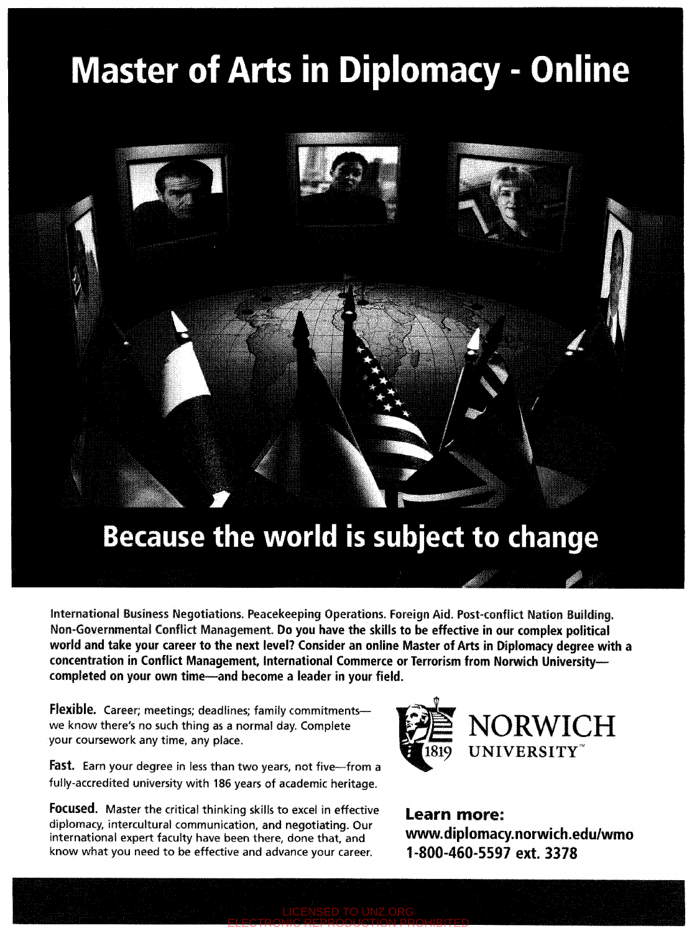## **Master of Arts in Diplomacy - Online**



## Because the world is subject to change

International Business Negotiations. Peacekeeping Operations. Foreign Aid. Post-conflict Nation Building. Non-Governmental Conflict Management. Do you have the skills to be effective in our complex political **world and take your career to the next level? Consider an online Master of Arts in Diplomacy degree with a**  concentration in Conflict Management, International Commerce or Terrorism from Norwich University**completed on your own time—and become a leader in your field.** 

ELECTRONIC REPRODUCTION PROHIBITED

**Flexible.** Career; meetings; deadlines; family commitments we know there's no such thing as a normal day. Complete your coursework any time, any place.

**Fast.** Earn your degree in less than two years, not five—from a fully-accredited university with 186 years of academic heritage.

**Focused.** Master the critical thinking skills to excel in effective diplomacy, intercultural communication, and negotiating. Our international expert faculty have been there, done that, and know what you need to be effective and advance your career.



Learn more: www.dlplomacy.norwich.edu/wmo 1-800-460-5597 ext. 3378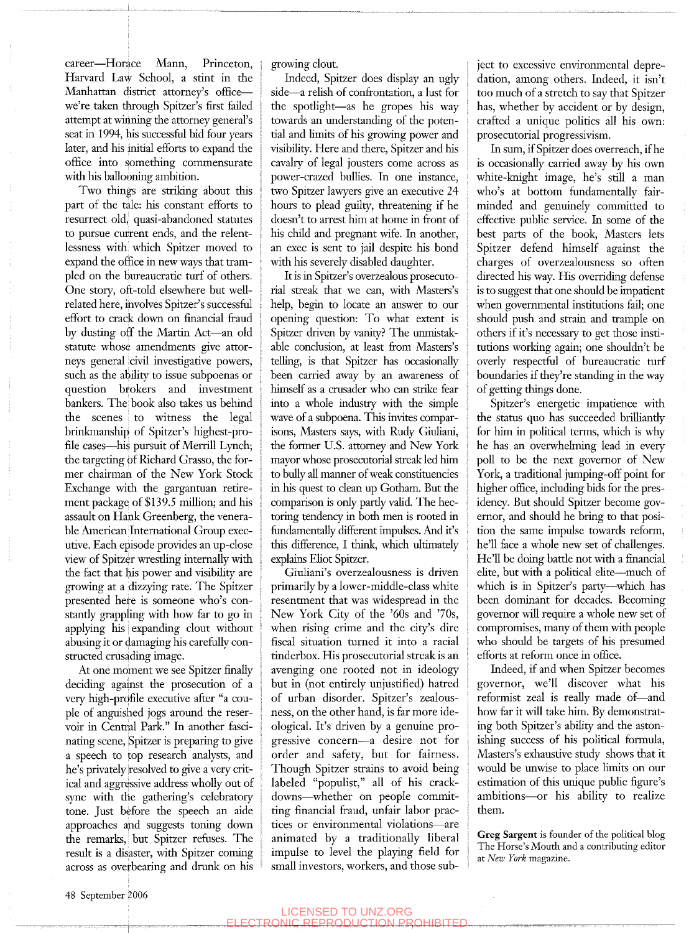career—Horace Mann, Princeton, Harvard Law School, a stint in the Manhattan district attorney's office we're taken through Spitzer's first failed attempt at winning the attorney general's seat in 1994, his successful bid four years later, and his initial efforts to expand the office into something commensurate with his ballooning ambition.

Two things are striking about this part of the tale: his constant efforts to resurrect old, quasi-abandoned statutes to pursue current ends, and the relentlessness with which Spitzer moved to expand the office in new ways that trampled on the bureaucratic turf of others. One story, oft-told elsewhere but wellrelated here, involves Spitzer's successful effort to crack down on financial fraud by dusting off the Martin Act—an old statute whose amendments give attorneys general civil investigative powers, such as the ability to issue subpoenas or question brokers and investment bankers. The book also takes us behind the scenes to witness the legal brinkmanship of Spitzer's highest-profile cases—his pursuit of Merrill Lynch; the targeting of Richard Grasso, the former chairman of the New York Stock Exchange with the gargantuan retirement package of \$139.5 million; and his assault on Hank Greenberg, the venerable American International Group executive. Each episode provides an up-close view of Spitzer wresthng internally with the fact that his power and visibility are growing at a dizzying rate. The Spitzer presented here is someone who's constantiy grappling with how far to go in applying his expanding clout without abusing it or damaging his carefully constructed crusading image.

At one moment we see Spitzer finally deciding against the prosecution of a very high-profile executive after "a couple of anguished jogs around the reservoir in Central Park." Li another fascinating scene, Spitzer is preparing to give a speech to top research analysts, and he's privately'resolved to give a very critical and aggressive address wholly out of sync with the gathering's celebratory tone. Just before the speech an aide approaches and suggests toning down the remarks, but Spitzer refuses. The result is a disaster, with Spitzer coming across as overbearing and drunk on his growing clout.

Indeed, Spitzer does display an ugly side—a relish of confrontation, a lust for the spotiight—as he gropes his way towards an understanding of the potential and limits of his growing power and visibility. Here and there, Spitzer and his cavalry of legal jousters come across as power-crazed bullies. In one instance, two Spitzer lawyers give an executive 24 hours to plead guilty, threatening if he doesn't to arrest him at home in front of his child and pregnant wife. In another, an exec is sent to jail despite his bond with his severely disabled daughter.

It is in Spitzer's overzealous prosecutorial streak that we can, with Masters's help, begin to locate an answer to our opening question: To what extent is Spitzer driven by vanity? The unmistakable conclusion, at least from Masters's telling, is that Spitzer has occasionally been carried away by an awareness of himself as a crusader who can strike fear into a whole industry with the simple wave of a subpoena. This invites comparisons, Masters says, with Rudy Giuliani, the former U.S. attorney and New York mayor whose prosecutorial streak led him to bully all manner of weak constituencies in his quest to clean up Gotham. But the comparison is only partiy valid. The hectoring tendency in both men is rooted in fundamentally different impulses. And it's this difference, I think, which ultimately explains Eliot Spitzer.

Giuliani's overzealousness is driven primarily by a lower-middle-class white resentment that was widespread in the New York City of the '60s and '70s, when rising crime and the city's dire fiscal situation turned it into a racial tinderbox. His prosecutorial streak is an avenging one rooted not in ideology but in (not entirely unjustified) hatred of urban disorder. Spitzer's zealousness, on the other hand, is far more ideological. It's driven by a genuine progressive concern—a desire not for order and safety, but for fairness. Though Spitzer strains to avoid being labeled "popuhst," all of his crackdowns—^whether on people committing financial firaud, unfair labor practices or environmental violations—are animated by a traditionally liberal impulse to level the playing field for small investors, workers, and those subject to excessive environmental depredation, among others. Indeed, it isn't too much of a stretch to say that Spitzer has, whether by accident or by design, crafted a unique politics all his own: prosecutorial progressivism.

In sum, if Spitzer does overreach, if he is occasionally carried away by his own white-knight image, he's still a man who's at bottom fundamentally fairminded and genuinely committed to effective pubhc service. In some of the best parts of the book. Masters lets Spitzer defend himself against the charges of overzealousness so often directed his way. His overriding defense is to suggest that one should be impatient when governmental institations fail; one should push and strain and trample on others if it's necessary to get those institutions working again; one shouldn't be overly respectful of bureaucratic turf boundaries if they're standing in the way of getting things done.

Spitzer's energetic impatience with the status quo has succeeded brilliantly for him in political terms, which is why he has an overwhelming lead in every poll to be the next governor of New York, a traditional jumping-off point for higher office, including bids for the presidency. But should Spitzer become governor, and should he bring to that position the same impulse towards reform, he'll face a whole new set of challenges. He'll be doing battie not with a financial elite, but with a political elite—^much of which is in Spitzer's party—which has been dominant for decades. Becoming governor will require a whole new set of compromises, many of them with people who should be targets of his presumed efforts at reform once in office.

Indeed, if and when Spitzer becomes governor, we'll discover what his reformist zeal is really made of—and how far it will take him. By demonstrating both Spitzer's ability and the astonishing success of his political formula, Masters's exhaustive study shows that it would be unwise to place limits on our estimation of this unique public figure's ambitions—or his ability to realize them.

**Greg Sargent** is founder of the political blog The Horse's Mouth and a contributing editor at *New York* magazine.